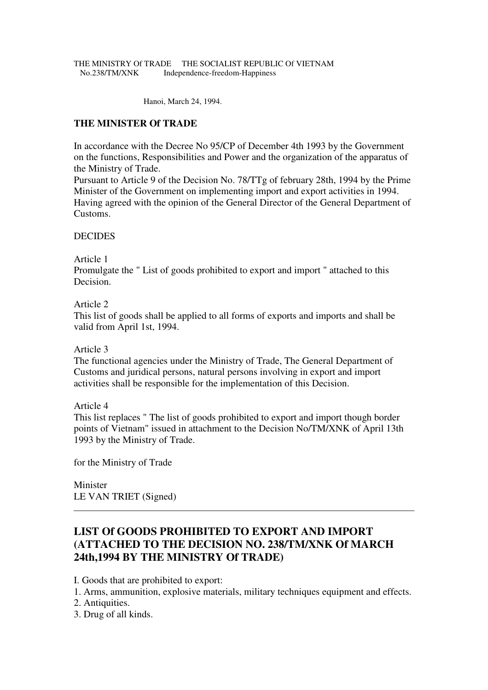#### THE MINISTRY Of TRADE THE SOCIALIST REPUBLIC Of VIETNAM No.238/TM/XNK Independence-freedom-Happiness

Hanoi, March 24, 1994.

## **THE MINISTER Of TRADE**

In accordance with the Decree No 95/CP of December 4th 1993 by the Government on the functions, Responsibilities and Power and the organization of the apparatus of the Ministry of Trade.

Pursuant to Article 9 of the Decision No. 78/TTg of february 28th, 1994 by the Prime Minister of the Government on implementing import and export activities in 1994. Having agreed with the opinion of the General Director of the General Department of Customs.

### DECIDES

Article 1

Promulgate the " List of goods prohibited to export and import " attached to this Decision.

### Article 2

This list of goods shall be applied to all forms of exports and imports and shall be valid from April 1st, 1994.

### Article 3

The functional agencies under the Ministry of Trade, The General Department of Customs and juridical persons, natural persons involving in export and import activities shall be responsible for the implementation of this Decision.

### Article 4

This list replaces " The list of goods prohibited to export and import though border points of Vietnam" issued in attachment to the Decision No/TM/XNK of April 13th 1993 by the Ministry of Trade.

for the Ministry of Trade

Minister LE VAN TRIET (Signed)

# **LIST Of GOODS PROHIBITED TO EXPORT AND IMPORT (ATTACHED TO THE DECISION NO. 238/TM/XNK Of MARCH 24th,1994 BY THE MINISTRY Of TRADE)**

I. Goods that are prohibited to export:

- 1. Arms, ammunition, explosive materials, military techniques equipment and effects.
- 2. Antiquities.
- 3. Drug of all kinds.